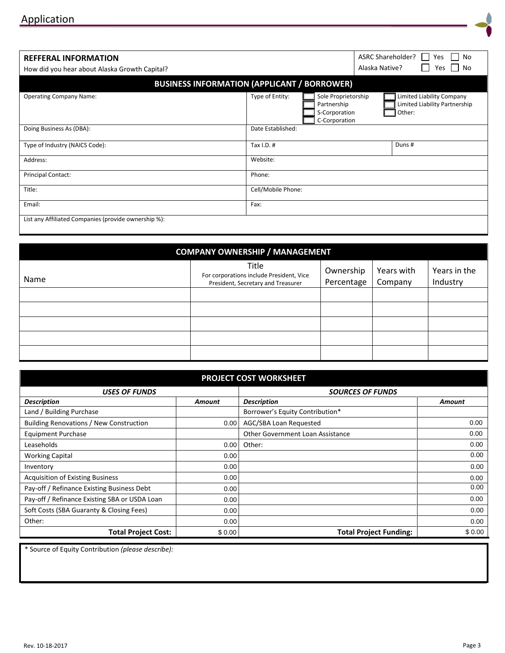| 0.00   | 0.00   |
|--------|--------|
|        | 0.00   |
| 0.00   | 0.00   |
| 0.00   | 0.00   |
| 0.00   | 0.00   |
| 0.00   | 0.00   |
| 0.00   | 0.00   |
| 0.00   | 0.00   |
| 0.00   | 0.00   |
| 0.00   | 0.00   |
| \$0.00 | \$0.00 |
|        |        |